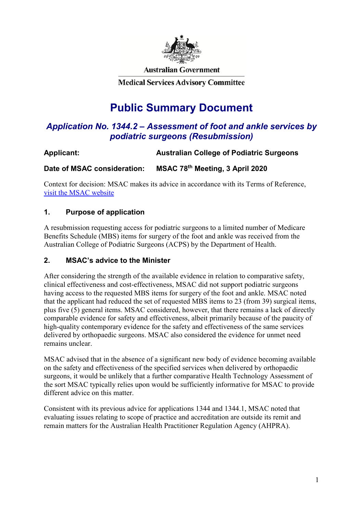

**Australian Government** 

**Medical Services Advisory Committee** 

# **Public Summary Document**

## *Application No. 1344.2 – Assessment of foot and ankle services by podiatric surgeons (Resubmission)*

## **Applicant: Australian College of Podiatric Surgeons**

**Date of MSAC consideration: MSAC 78th Meeting, 3 April 2020**

Context for decision: MSAC makes its advice in accordance with its Terms of Reference, [visit the MSAC website](http://www.msac.gov.au/)

## **1. Purpose of application**

A resubmission requesting access for podiatric surgeons to a limited number of Medicare Benefits Schedule (MBS) items for surgery of the foot and ankle was received from the Australian College of Podiatric Surgeons (ACPS) by the Department of Health.

## **2. MSAC's advice to the Minister**

After considering the strength of the available evidence in relation to comparative safety, clinical effectiveness and cost-effectiveness, MSAC did not support podiatric surgeons having access to the requested MBS items for surgery of the foot and ankle. MSAC noted that the applicant had reduced the set of requested MBS items to 23 (from 39) surgical items, plus five (5) general items. MSAC considered, however, that there remains a lack of directly comparable evidence for safety and effectiveness, albeit primarily because of the paucity of high-quality contemporary evidence for the safety and effectiveness of the same services delivered by orthopaedic surgeons. MSAC also considered the evidence for unmet need remains unclear.

MSAC advised that in the absence of a significant new body of evidence becoming available on the safety and effectiveness of the specified services when delivered by orthopaedic surgeons, it would be unlikely that a further comparative Health Technology Assessment of the sort MSAC typically relies upon would be sufficiently informative for MSAC to provide different advice on this matter.

Consistent with its previous advice for applications 1344 and 1344.1, MSAC noted that evaluating issues relating to scope of practice and accreditation are outside its remit and remain matters for the Australian Health Practitioner Regulation Agency (AHPRA).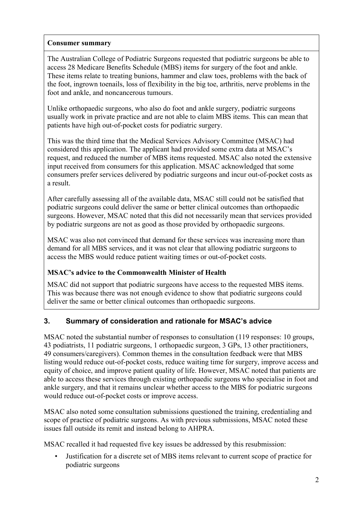## **Consumer summary**

The Australian College of Podiatric Surgeons requested that podiatric surgeons be able to access 28 Medicare Benefits Schedule (MBS) items for surgery of the foot and ankle. These items relate to treating bunions, hammer and claw toes, problems with the back of the foot, ingrown toenails, loss of flexibility in the big toe, arthritis, nerve problems in the foot and ankle, and noncancerous tumours.

Unlike orthopaedic surgeons, who also do foot and ankle surgery, podiatric surgeons usually work in private practice and are not able to claim MBS items. This can mean that patients have high out-of-pocket costs for podiatric surgery.

This was the third time that the Medical Services Advisory Committee (MSAC) had considered this application. The applicant had provided some extra data at MSAC's request, and reduced the number of MBS items requested. MSAC also noted the extensive input received from consumers for this application. MSAC acknowledged that some consumers prefer services delivered by podiatric surgeons and incur out-of-pocket costs as a result.

After carefully assessing all of the available data, MSAC still could not be satisfied that podiatric surgeons could deliver the same or better clinical outcomes than orthopaedic surgeons. However, MSAC noted that this did not necessarily mean that services provided by podiatric surgeons are not as good as those provided by orthopaedic surgeons.

MSAC was also not convinced that demand for these services was increasing more than demand for all MBS services, and it was not clear that allowing podiatric surgeons to access the MBS would reduce patient waiting times or out-of-pocket costs.

## **MSAC's advice to the Commonwealth Minister of Health**

MSAC did not support that podiatric surgeons have access to the requested MBS items. This was because there was not enough evidence to show that podiatric surgeons could deliver the same or better clinical outcomes than orthopaedic surgeons.

## **3. Summary of consideration and rationale for MSAC's advice**

MSAC noted the substantial number of responses to consultation (119 responses: 10 groups, 43 podiatrists, 11 podiatric surgeons, 1 orthopaedic surgeon, 3 GPs, 13 other practitioners, 49 consumers/caregivers). Common themes in the consultation feedback were that MBS listing would reduce out-of-pocket costs, reduce waiting time for surgery, improve access and equity of choice, and improve patient quality of life. However, MSAC noted that patients are able to access these services through existing orthopaedic surgeons who specialise in foot and ankle surgery, and that it remains unclear whether access to the MBS for podiatric surgeons would reduce out-of-pocket costs or improve access.

MSAC also noted some consultation submissions questioned the training, credentialing and scope of practice of podiatric surgeons. As with previous submissions, MSAC noted these issues fall outside its remit and instead belong to AHPRA.

MSAC recalled it had requested five key issues be addressed by this resubmission:

• Justification for a discrete set of MBS items relevant to current scope of practice for podiatric surgeons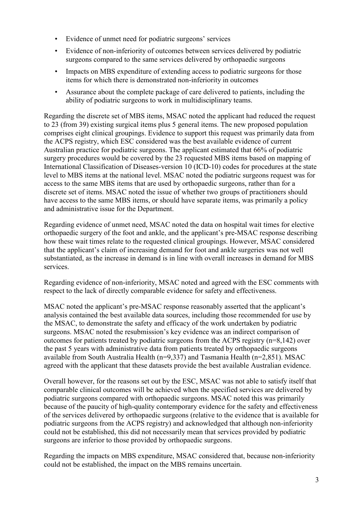- Evidence of unmet need for podiatric surgeons' services
- Evidence of non-inferiority of outcomes between services delivered by podiatric surgeons compared to the same services delivered by orthopaedic surgeons
- Impacts on MBS expenditure of extending access to podiatric surgeons for those items for which there is demonstrated non-inferiority in outcomes
- Assurance about the complete package of care delivered to patients, including the ability of podiatric surgeons to work in multidisciplinary teams.

Regarding the discrete set of MBS items, MSAC noted the applicant had reduced the request to 23 (from 39) existing surgical items plus 5 general items. The new proposed population comprises eight clinical groupings. Evidence to support this request was primarily data from the ACPS registry, which ESC considered was the best available evidence of current Australian practice for podiatric surgeons. The applicant estimated that 66% of podiatric surgery procedures would be covered by the 23 requested MBS items based on mapping of International Classification of Diseases-version 10 (ICD-10) codes for procedures at the state level to MBS items at the national level. MSAC noted the podiatric surgeons request was for access to the same MBS items that are used by orthopaedic surgeons, rather than for a discrete set of items. MSAC noted the issue of whether two groups of practitioners should have access to the same MBS items, or should have separate items, was primarily a policy and administrative issue for the Department.

Regarding evidence of unmet need, MSAC noted the data on hospital wait times for elective orthopaedic surgery of the foot and ankle, and the applicant's pre-MSAC response describing how these wait times relate to the requested clinical groupings. However, MSAC considered that the applicant's claim of increasing demand for foot and ankle surgeries was not well substantiated, as the increase in demand is in line with overall increases in demand for MBS services.

Regarding evidence of non-inferiority, MSAC noted and agreed with the ESC comments with respect to the lack of directly comparable evidence for safety and effectiveness.

MSAC noted the applicant's pre-MSAC response reasonably asserted that the applicant's analysis contained the best available data sources, including those recommended for use by the MSAC, to demonstrate the safety and efficacy of the work undertaken by podiatric surgeons. MSAC noted the resubmission's key evidence was an indirect comparison of outcomes for patients treated by podiatric surgeons from the ACPS registry (n=8,142) over the past 5 years with administrative data from patients treated by orthopaedic surgeons available from South Australia Health (n=9,337) and Tasmania Health (n=2,851). MSAC agreed with the applicant that these datasets provide the best available Australian evidence.

Overall however, for the reasons set out by the ESC, MSAC was not able to satisfy itself that comparable clinical outcomes will be achieved when the specified services are delivered by podiatric surgeons compared with orthopaedic surgeons. MSAC noted this was primarily because of the paucity of high-quality contemporary evidence for the safety and effectiveness of the services delivered by orthopaedic surgeons (relative to the evidence that is available for podiatric surgeons from the ACPS registry) and acknowledged that although non-inferiority could not be established, this did not necessarily mean that services provided by podiatric surgeons are inferior to those provided by orthopaedic surgeons.

Regarding the impacts on MBS expenditure, MSAC considered that, because non-inferiority could not be established, the impact on the MBS remains uncertain.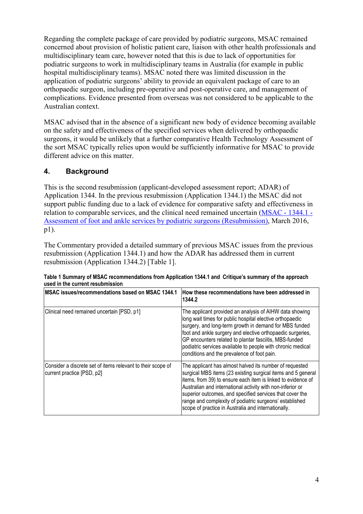Regarding the complete package of care provided by podiatric surgeons, MSAC remained concerned about provision of holistic patient care, liaison with other health professionals and multidisciplinary team care, however noted that this is due to lack of opportunities for podiatric surgeons to work in multidisciplinary teams in Australia (for example in public hospital multidisciplinary teams). MSAC noted there was limited discussion in the application of podiatric surgeons' ability to provide an equivalent package of care to an orthopaedic surgeon, including pre-operative and post-operative care, and management of complications. Evidence presented from overseas was not considered to be applicable to the Australian context.

MSAC advised that in the absence of a significant new body of evidence becoming available on the safety and effectiveness of the specified services when delivered by orthopaedic surgeons, it would be unlikely that a further comparative Health Technology Assessment of the sort MSAC typically relies upon would be sufficiently informative for MSAC to provide different advice on this matter.

## **4. Background**

This is the second resubmission (applicant-developed assessment report; ADAR) of Application 1344. In the previous resubmission (Application 1344.1) the MSAC did not support public funding due to a lack of evidence for comparative safety and effectiveness in relation to comparable services, and the clinical need remained uncertain [\(MSAC -](http://wcmprd01.central.health/internet/msac/publishing.nsf/Content/1344.1-public) 1344.1 - [Assessment of foot and ankle services by podiatric surgeons \(Resubmission\),](http://wcmprd01.central.health/internet/msac/publishing.nsf/Content/1344.1-public) March 2016, p1).

The Commentary provided a detailed summary of previous MSAC issues from the previous resubmission (Application 1344.1) and how the ADAR has addressed them in current resubmission (Application 1344.2) [Table 1].

| MSAC issues/recommendations based on MSAC 1344.1                                          | How these recommendations have been addressed in<br>1344.2                                                                                                                                                                                                                                                                                                                                                                          |
|-------------------------------------------------------------------------------------------|-------------------------------------------------------------------------------------------------------------------------------------------------------------------------------------------------------------------------------------------------------------------------------------------------------------------------------------------------------------------------------------------------------------------------------------|
| Clinical need remained uncertain [PSD, p1]                                                | The applicant provided an analysis of AIHW data showing<br>long wait times for public hospital elective orthopaedic<br>surgery, and long-term growth in demand for MBS funded<br>foot and ankle surgery and elective orthopaedic surgeries,<br>GP encounters related to plantar fasciitis, MBS-funded<br>podiatric services available to people with chronic medical<br>conditions and the prevalence of foot pain.                 |
| Consider a discrete set of items relevant to their scope of<br>current practice [PSD, p2] | The applicant has almost halved its number of requested<br>surgical MBS items (23 existing surgical items and 5 general<br>items, from 39) to ensure each item is linked to evidence of<br>Australian and international activity with non-inferior or<br>superior outcomes, and specified services that cover the<br>range and complexity of podiatric surgeons' established<br>scope of practice in Australia and internationally. |

| Table 1 Summary of MSAC recommendations from Application 1344.1 and Critique's summary of the approach |  |
|--------------------------------------------------------------------------------------------------------|--|
| used in the current resubmission                                                                       |  |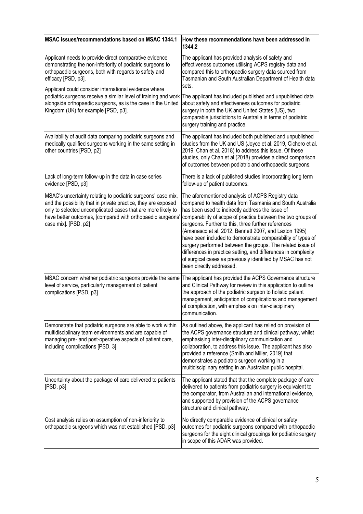| MSAC issues/recommendations based on MSAC 1344.1                                                                                                                                                                                                                                     | How these recommendations have been addressed in<br>1344.2                                                                                                                                                                                                                                                                                                                                                                                                                                                                                                                                                                                  |
|--------------------------------------------------------------------------------------------------------------------------------------------------------------------------------------------------------------------------------------------------------------------------------------|---------------------------------------------------------------------------------------------------------------------------------------------------------------------------------------------------------------------------------------------------------------------------------------------------------------------------------------------------------------------------------------------------------------------------------------------------------------------------------------------------------------------------------------------------------------------------------------------------------------------------------------------|
| Applicant needs to provide direct comparative evidence<br>demonstrating the non-inferiority of podiatric surgeons to<br>orthopaedic surgeons, both with regards to safety and<br>efficacy [PSD, p3].                                                                                 | The applicant has provided analysis of safety and<br>effectiveness outcomes utilising ACPS registry data and<br>compared this to orthopaedic surgery data sourced from<br>Tasmanian and South Australian Department of Health data<br>sets.                                                                                                                                                                                                                                                                                                                                                                                                 |
| Applicant could consider international evidence where<br>podiatric surgeons receive a similar level of training and work<br>alongside orthopaedic surgeons, as is the case in the United<br>Kingdom (UK) for example [PSD, p3].                                                      | The applicant has included published and unpublished data<br>about safety and effectiveness outcomes for podiatric<br>surgery in both the UK and United States (US), two<br>comparable jurisdictions to Australia in terms of podiatric<br>surgery training and practice.                                                                                                                                                                                                                                                                                                                                                                   |
| Availability of audit data comparing podiatric surgeons and<br>medically qualified surgeons working in the same setting in<br>other countries [PSD, p2]                                                                                                                              | The applicant has included both published and unpublished<br>studies from the UK and US (Joyce et al. 2019, Cichero et al.<br>2019, Chan et al. 2018) to address this issue. Of these<br>studies, only Chan et al (2018) provides a direct comparison<br>of outcomes between podiatric and orthopaedic surgeons.                                                                                                                                                                                                                                                                                                                            |
| Lack of long-term follow-up in the data in case series<br>evidence [PSD, p3]                                                                                                                                                                                                         | There is a lack of published studies incorporating long term<br>follow-up of patient outcomes.                                                                                                                                                                                                                                                                                                                                                                                                                                                                                                                                              |
| MSAC's uncertainty relating to podiatric surgeons' case mix,<br>and the possibility that in private practice, they are exposed<br>only to selected uncomplicated cases that are more likely to<br>have better outcomes, [compared with orthopaedic surgeons'<br>case mix]. [PSD, p2] | The aforementioned analysis of ACPS Registry data<br>compared to health data from Tasmania and South Australia<br>has been used to indirectly address the issue of<br>comparability of scope of practice between the two groups of<br>surgeons. Further to this, three further references<br>(Amanasco et al. 2012, Bennett 2007, and Laxton 1995)<br>have been included to demonstrate comparability of types of<br>surgery performed between the groups. The related issue of<br>differences in practice setting, and differences in complexity<br>of surgical cases as previously identified by MSAC has not<br>been directly addressed. |
| MSAC concern whether podiatric surgeons provide the same<br>level of service, particularly management of patient<br>complications [PSD, p3]                                                                                                                                          | The applicant has provided the ACPS Governance structure<br>and Clinical Pathway for review in this application to outline<br>the approach of the podiatric surgeon to holistic patient<br>management, anticipation of complications and management<br>of complication, with emphasis on inter-disciplinary<br>communication.                                                                                                                                                                                                                                                                                                               |
| Demonstrate that podiatric surgeons are able to work within<br>multidisciplinary team environments and are capable of<br>managing pre- and post-operative aspects of patient care,<br>including complications [PSD, 3]                                                               | As outlined above, the applicant has relied on provision of<br>the ACPS governance structure and clinical pathway, whilst<br>emphasising inter-disciplinary communication and<br>collaboration, to address this issue. The applicant has also<br>provided a reference (Smith and Miller, 2019) that<br>demonstrates a podiatric surgeon working in a<br>multidisciplinary setting in an Australian public hospital.                                                                                                                                                                                                                         |
| Uncertainty about the package of care delivered to patients<br>[PSD, p3]                                                                                                                                                                                                             | The applicant stated that that the complete package of care<br>delivered to patients from podiatric surgery is equivalent to<br>the comparator, from Australian and international evidence,<br>and supported by provision of the ACPS governance<br>structure and clinical pathway.                                                                                                                                                                                                                                                                                                                                                         |
| Cost analysis relies on assumption of non-inferiority to<br>orthopaedic surgeons which was not established [PSD, p3]                                                                                                                                                                 | No directly comparable evidence of clinical or safety<br>outcomes for podiatric surgeons compared with orthopaedic<br>surgeons for the eight clinical groupings for podiatric surgery<br>in scope of this ADAR was provided.                                                                                                                                                                                                                                                                                                                                                                                                                |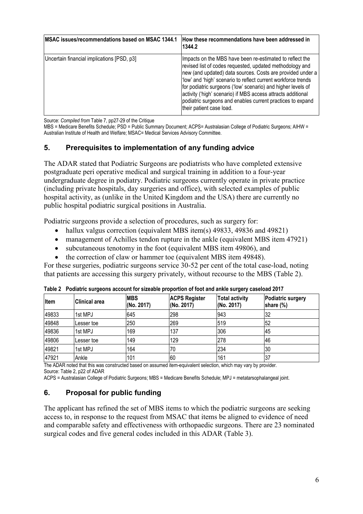| <b>IMSAC issues/recommendations based on MSAC 1344.1</b> | How these recommendations have been addressed in<br>1344.2                                                                                                                                                                                                                                                                                                                                                                                                                    |
|----------------------------------------------------------|-------------------------------------------------------------------------------------------------------------------------------------------------------------------------------------------------------------------------------------------------------------------------------------------------------------------------------------------------------------------------------------------------------------------------------------------------------------------------------|
| Uncertain financial implications [PSD, p3]               | Impacts on the MBS have been re-estimated to reflect the<br>revised list of codes requested, updated methodology and<br>new (and updated) data sources. Costs are provided under a<br>'low' and 'high' scenario to reflect current workforce trends<br>for podiatric surgeons ('low' scenario) and higher levels of<br>activity ('high' scenario) if MBS access attracts additional<br>podiatric surgeons and enables current practices to expand<br>their patient case load. |

Source: *Compiled from* Table 7, pp27-29 of the Critique

MBS = Medicare Benefits Schedule; PSD = Public Summary Document; ACPS= Australasian College of Podiatric Surgeons; AIHW = Australian Institute of Health and Welfare; MSAC= Medical Services Advisory Committee.

## **5. Prerequisites to implementation of any funding advice**

The ADAR stated that Podiatric Surgeons are podiatrists who have completed extensive postgraduate peri operative medical and surgical training in addition to a four-year undergraduate degree in podiatry. Podiatric surgeons currently operate in private practice (including private hospitals, day surgeries and office), with selected examples of public hospital activity, as (unlike in the United Kingdom and the USA) there are currently no public hospital podiatric surgical positions in Australia.

Podiatric surgeons provide a selection of procedures, such as surgery for:

- hallux valgus correction (equivalent MBS item(s) 49833, 49836 and 49821)
- management of Achilles tendon rupture in the ankle (equivalent MBS item 47921)
- subcutaneous tenotomy in the foot (equivalent MBS item 49806), and
- the correction of claw or hammer toe (equivalent MBS item 49848).

For these surgeries, podiatric surgeons service 30-52 per cent of the total case-load, noting that patients are accessing this surgery privately, without recourse to the MBS (Table 2).

| Item  | Clinical area | <b>MBS</b><br>(No. 2017) | <b>ACPS Register</b><br>(No. 2017) | <b>Total activity</b><br>(No. 2017) | <b>Podiatric surgery</b><br>share (%) |
|-------|---------------|--------------------------|------------------------------------|-------------------------------------|---------------------------------------|
| 49833 | 1st MPJ       | 645                      | 298                                | 943                                 | 32                                    |
| 49848 | Lesser toe    | 250                      | 269                                | 519                                 | 52                                    |
| 49836 | 1st MPJ       | 169                      | 137                                | 306                                 | 145                                   |
| 49806 | Lesser toe    | 149                      | 129                                | 278                                 | 46                                    |
| 49821 | 1st MPJ       | 164                      | 70                                 | 234                                 | 130                                   |
| 47921 | Ankle         | 101                      | 60                                 | 161                                 | 137                                   |

**Table 2 Podiatric surgeons account for sizeable proportion of foot and ankle surgery caseload 2017**

The ADAR noted that this was constructed based on assumed item-equivalent selection, which may vary by provider. Source: Table 2, p22 of ADAR

ACPS = Australasian College of Podiatric Surgeons; MBS = Medicare Benefits Schedule; MPJ = metatarsophalangeal joint.

## **6. Proposal for public funding**

The applicant has refined the set of MBS items to which the podiatric surgeons are seeking access to, in response to the request from MSAC that items be aligned to evidence of need and comparable safety and effectiveness with orthopaedic surgeons. There are 23 nominated surgical codes and five general codes included in this ADAR (Table 3).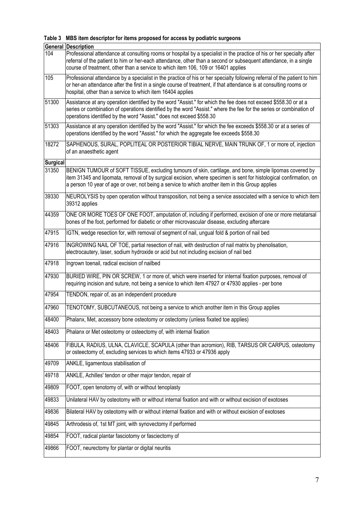|  |  | Table 3 MBS item descriptor for items proposed for access by podiatric surgeons |  |  |  |  |  |  |
|--|--|---------------------------------------------------------------------------------|--|--|--|--|--|--|
|--|--|---------------------------------------------------------------------------------|--|--|--|--|--|--|

|                 | <b>General Description</b>                                                                                                                                                                                                                                                                                                        |
|-----------------|-----------------------------------------------------------------------------------------------------------------------------------------------------------------------------------------------------------------------------------------------------------------------------------------------------------------------------------|
| 104             | Professional attendance at consulting rooms or hospital by a specialist in the practice of his or her specialty after<br>referral of the patient to him or her-each attendance, other than a second or subsequent attendance, in a single<br>course of treatment, other than a service to which item 106, 109 or 16401 applies    |
| 105             | Professional attendance by a specialist in the practice of his or her specialty following referral of the patient to him<br>or her-an attendance after the first in a single course of treatment, if that attendance is at consulting rooms or<br>hospital, other than a service to which item 16404 applies                      |
| 51300           | Assistance at any operation identified by the word "Assist." for which the fee does not exceed \$558.30 or at a<br>series or combination of operations identified by the word "Assist." where the fee for the series or combination of<br>operations identified by the word "Assist." does not exceed \$558.30                    |
| 51303           | Assistance at any operation identified by the word "Assist." for which the fee exceeds \$558.30 or at a series of<br>operations identified by the word "Assist." for which the aggregate fee exceeds \$558.30                                                                                                                     |
| 18272           | SAPHENOUS, SURAL, POPLITEAL OR POSTERIOR TIBIAL NERVE, MAIN TRUNK OF, 1 or more of, injection<br>of an anaesthetic agent                                                                                                                                                                                                          |
| <b>Surgical</b> |                                                                                                                                                                                                                                                                                                                                   |
| 31350           | BENIGN TUMOUR of SOFT TISSUE, excluding tumours of skin, cartilage, and bone, simple lipomas covered by<br>item 31345 and lipomata, removal of by surgical excision, where specimen is sent for histological confirmation, on<br>a person 10 year of age or over, not being a service to which another item in this Group applies |
| 39330           | NEUROLYSIS by open operation without transposition, not being a service associated with a service to which item<br>39312 applies                                                                                                                                                                                                  |
| 44359           | ONE OR MORE TOES OF ONE FOOT, amputation of, including if performed, excision of one or more metatarsal<br>bones of the foot, performed for diabetic or other microvascular disease, excluding aftercare                                                                                                                          |
| 47915           | IGTN, wedge resection for, with removal of segment of nail, ungual fold & portion of nail bed                                                                                                                                                                                                                                     |
| 47916           | INGROWING NAIL OF TOE, partial resection of nail, with destruction of nail matrix by phenolisation,<br>electrocautery, laser, sodium hydroxide or acid but not including excision of nail bed                                                                                                                                     |
| 47918           | Ingrown toenail, radical excision of nailbed                                                                                                                                                                                                                                                                                      |
| 47930           | BURIED WIRE, PIN OR SCREW, 1 or more of, which were inserted for internal fixation purposes, removal of<br>requiring incision and suture, not being a service to which item 47927 or 47930 applies - per bone                                                                                                                     |
| 47954           | TENDON, repair of, as an independent procedure                                                                                                                                                                                                                                                                                    |
| 47960           | TENOTOMY, SUBCUTANEOUS, not being a service to which another item in this Group applies                                                                                                                                                                                                                                           |
| 48400           | Phalanx, Met, accessory bone osteotomy or ostectomy (unless fixated toe applies)                                                                                                                                                                                                                                                  |
| 48403           | Phalanx or Met osteotomy or osteectomy of, with internal fixation                                                                                                                                                                                                                                                                 |
| 48406           | FIBULA, RADIUS, ULNA, CLAVICLE, SCAPULA (other than acromion), RIB, TARSUS OR CARPUS, osteotomy<br>or osteectomy of, excluding services to which items 47933 or 47936 apply                                                                                                                                                       |
| 49709           | ANKLE, ligamentous stabilisation of                                                                                                                                                                                                                                                                                               |
| 49718           | ANKLE, Achilles' tendon or other major tendon, repair of                                                                                                                                                                                                                                                                          |
| 49809           | FOOT, open tenotomy of, with or without tenoplasty                                                                                                                                                                                                                                                                                |
| 49833           | Unilateral HAV by osteotomy with or without internal fixation and with or without excision of exotoses                                                                                                                                                                                                                            |
| 49836           | Bilateral HAV by osteotomy with or without internal fixation and with or without excision of exotoses                                                                                                                                                                                                                             |
| 49845           | Arthrodesis of, 1st MT joint, with synovectomy if performed                                                                                                                                                                                                                                                                       |
| 49854           | FOOT, radical plantar fasciotomy or fasciectomy of                                                                                                                                                                                                                                                                                |
| 49866           | FOOT, neurectomy for plantar or digital neuritis                                                                                                                                                                                                                                                                                  |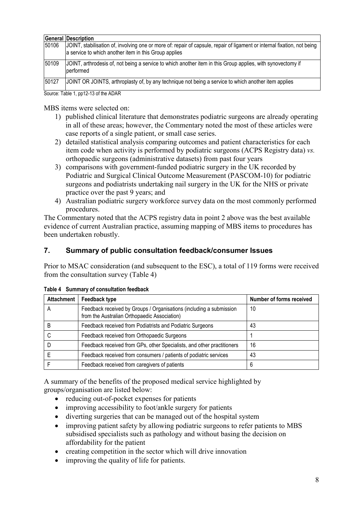|       | <b>General Description</b>                                                                                                                                                         |
|-------|------------------------------------------------------------------------------------------------------------------------------------------------------------------------------------|
| 50106 | JJOINT, stabilisation of, involving one or more of: repair of capsule, repair of ligament or internal fixation, not being<br>a service to which another item in this Group applies |
| 50109 | JOINT, arthrodesis of, not being a service to which another item in this Group applies, with synovectomy if<br>Iperformed                                                          |
| 50127 | JOINT OR JOINTS, arthroplasty of, by any technique not being a service to which another item applies                                                                               |
|       | $C_{\text{OUTOO}}$ Table 1 and 2.4 af the ADAD                                                                                                                                     |

Source: Table 1, pp12-13 of the ADAR

MBS items were selected on:

- 1) published clinical literature that demonstrates podiatric surgeons are already operating in all of these areas; however, the Commentary noted the most of these articles were case reports of a single patient, or small case series.
- 2) detailed statistical analysis comparing outcomes and patient characteristics for each item code when activity is performed by podiatric surgeons (ACPS Registry data) *vs.* orthopaedic surgeons (administrative datasets) from past four years
- 3) comparisons with government-funded podiatric surgery in the UK recorded by Podiatric and Surgical Clinical Outcome Measurement (PASCOM-10) for podiatric surgeons and podiatrists undertaking nail surgery in the UK for the NHS or private practice over the past 9 years; and
- 4) Australian podiatric surgery workforce survey data on the most commonly performed procedures.

The Commentary noted that the ACPS registry data in point 2 above was the best available evidence of current Australian practice, assuming mapping of MBS items to procedures has been undertaken robustly.

## **7. Summary of public consultation feedback/consumer Issues**

Prior to MSAC consideration (and subsequent to the ESC), a total of 119 forms were received from the consultation survey (Table 4)

| <b>Attachment</b> | Feedback type                                                                                                       | <b>Number of forms received</b> |
|-------------------|---------------------------------------------------------------------------------------------------------------------|---------------------------------|
| А                 | Feedback received by Groups / Organisations (including a submission<br>from the Australian Orthopaedic Association) | 10                              |
| B                 | Feedback received from Podiatrists and Podiatric Surgeons                                                           | 43                              |
|                   | Feedback received from Orthopaedic Surgeons                                                                         |                                 |
|                   | Feedback received from GPs, other Specialists, and other practitioners                                              | 16                              |
|                   | Feedback received from consumers / patients of podiatric services                                                   | 43                              |
|                   | Feedback received from caregivers of patients                                                                       | 6                               |

**Table 4 Summary of consultation feedback**

A summary of the benefits of the proposed medical service highlighted by groups/organisation are listed below:

- reducing out-of-pocket expenses for patients
- improving accessibility to foot/ankle surgery for patients
- diverting surgeries that can be managed out of the hospital system
- improving patient safety by allowing podiatric surgeons to refer patients to MBS subsidised specialists such as pathology and without basing the decision on affordability for the patient
- creating competition in the sector which will drive innovation
- improving the quality of life for patients.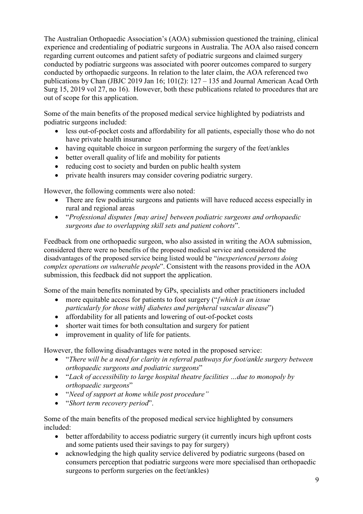The Australian Orthopaedic Association's (AOA) submission questioned the training, clinical experience and credentialing of podiatric surgeons in Australia. The AOA also raised concern regarding current outcomes and patient safety of podiatric surgeons and claimed surgery conducted by podiatric surgeons was associated with poorer outcomes compared to surgery conducted by orthopaedic surgeons. In relation to the later claim, the AOA referenced two publications by Chan (JBJC 2019 Jan 16; 101(2): 127 – 135 and Journal American Acad Orth Surg 15, 2019 vol 27, no 16). However, both these publications related to procedures that are out of scope for this application.

Some of the main benefits of the proposed medical service highlighted by podiatrists and podiatric surgeons included:

- less out-of-pocket costs and affordability for all patients, especially those who do not have private health insurance
- having equitable choice in surgeon performing the surgery of the feet/ankles
- better overall quality of life and mobility for patients
- reducing cost to society and burden on public health system
- private health insurers may consider covering podiatric surgery.

However, the following comments were also noted:

- There are few podiatric surgeons and patients will have reduced access especially in rural and regional areas
- "*Professional disputes [may arise] between podiatric surgeons and orthopaedic surgeons due to overlapping skill sets and patient cohorts*".

Feedback from one orthopaedic surgeon, who also assisted in writing the AOA submission, considered there were no benefits of the proposed medical service and considered the disadvantages of the proposed service being listed would be "*inexperienced persons doing complex operations on vulnerable people*". Consistent with the reasons provided in the AOA submission, this feedback did not support the application.

Some of the main benefits nominated by GPs, specialists and other practitioners included

- more equitable access for patients to foot surgery ("*[which is an issue particularly for those with] diabetes and peripheral vascular disease*")
- affordability for all patients and lowering of out-of-pocket costs
- shorter wait times for both consultation and surgery for patient
- improvement in quality of life for patients.

However, the following disadvantages were noted in the proposed service:

- "*There will be a need for clarity in referral pathways for foot/ankle surgery between orthopaedic surgeons and podiatric surgeons*"
- "*Lack of accessibility to large hospital theatre facilities …due to monopoly by orthopaedic surgeons*"
- "*Need of support at home while post procedure"*
- "*Short term recovery period*".

Some of the main benefits of the proposed medical service highlighted by consumers included:

- better affordability to access podiatric surgery (it currently incurs high upfront costs and some patients used their savings to pay for surgery)
- acknowledging the high quality service delivered by podiatric surgeons (based on consumers perception that podiatric surgeons were more specialised than orthopaedic surgeons to perform surgeries on the feet/ankles)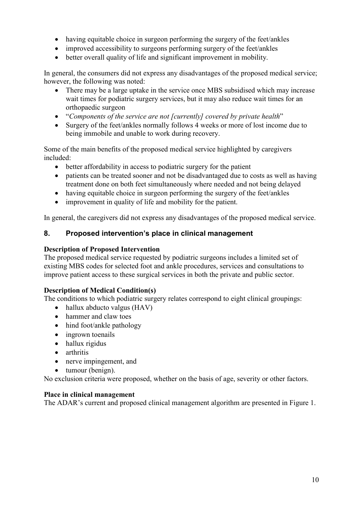- having equitable choice in surgeon performing the surgery of the feet/ankles
- improved accessibility to surgeons performing surgery of the feet/ankles
- better overall quality of life and significant improvement in mobility.

In general, the consumers did not express any disadvantages of the proposed medical service; however, the following was noted:

- There may be a large uptake in the service once MBS subsidised which may increase wait times for podiatric surgery services, but it may also reduce wait times for an orthopaedic surgeon
- "*Components of the service are not [currently] covered by private health*"
- Surgery of the feet/ankles normally follows 4 weeks or more of lost income due to being immobile and unable to work during recovery.

Some of the main benefits of the proposed medical service highlighted by caregivers included:

- better affordability in access to podiatric surgery for the patient
- patients can be treated sooner and not be disadvantaged due to costs as well as having treatment done on both feet simultaneously where needed and not being delayed
- having equitable choice in surgeon performing the surgery of the feet/ankles
- improvement in quality of life and mobility for the patient.

In general, the caregivers did not express any disadvantages of the proposed medical service.

## **8. Proposed intervention's place in clinical management**

#### **Description of Proposed Intervention**

The proposed medical service requested by podiatric surgeons includes a limited set of existing MBS codes for selected foot and ankle procedures, services and consultations to improve patient access to these surgical services in both the private and public sector.

#### **Description of Medical Condition(s)**

The conditions to which podiatric surgery relates correspond to eight clinical groupings:

- hallux abducto valgus (HAV)
- hammer and claw toes
- hind foot/ankle pathology
- ingrown toenails
- hallux rigidus
- arthritis
- nerve impingement, and
- tumour (benign).

No exclusion criteria were proposed, whether on the basis of age, severity or other factors.

#### **Place in clinical management**

The ADAR's current and proposed clinical management algorithm are presented in Figure 1.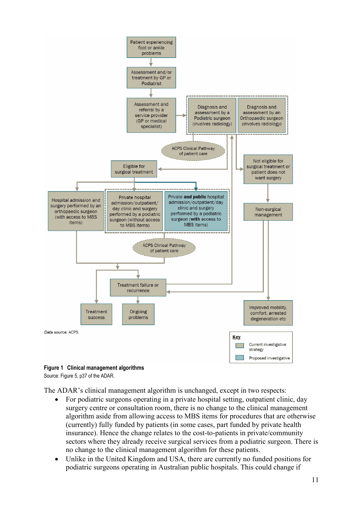



Source: Figure 5, p37 of the ADAR.

The ADAR's clinical management algorithm is unchanged, except in two respects:

- For podiatric surgeons operating in a private hospital setting, outpatient clinic, day surgery centre or consultation room, there is no change to the clinical management algorithm aside from allowing access to MBS items for procedures that are otherwise (currently) fully funded by patients (in some cases, part funded by private health insurance). Hence the change relates to the cost-to-patients in private/community sectors where they already receive surgical services from a podiatric surgeon. There is no change to the clinical management algorithm for these patients.
- Unlike in the United Kingdom and USA, there are currently no funded positions for podiatric surgeons operating in Australian public hospitals. This could change if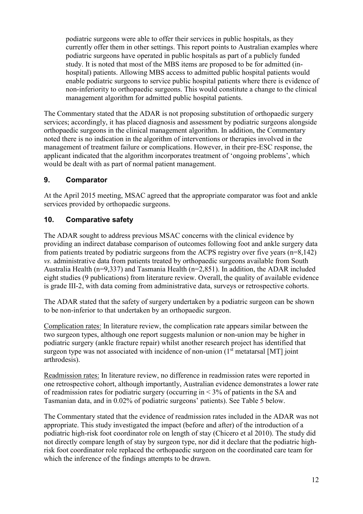podiatric surgeons were able to offer their services in public hospitals, as they currently offer them in other settings. This report points to Australian examples where podiatric surgeons have operated in public hospitals as part of a publicly funded study. It is noted that most of the MBS items are proposed to be for admitted (inhospital) patients. Allowing MBS access to admitted public hospital patients would enable podiatric surgeons to service public hospital patients where there is evidence of non-inferiority to orthopaedic surgeons. This would constitute a change to the clinical management algorithm for admitted public hospital patients.

The Commentary stated that the ADAR is not proposing substitution of orthopaedic surgery services; accordingly, it has placed diagnosis and assessment by podiatric surgeons alongside orthopaedic surgeons in the clinical management algorithm. In addition, the Commentary noted there is no indication in the algorithm of interventions or therapies involved in the management of treatment failure or complications. However, in their pre-ESC response, the applicant indicated that the algorithm incorporates treatment of 'ongoing problems', which would be dealt with as part of normal patient management.

## **9. Comparator**

At the April 2015 meeting, MSAC agreed that the appropriate comparator was foot and ankle services provided by orthopaedic surgeons.

### **10. Comparative safety**

The ADAR sought to address previous MSAC concerns with the clinical evidence by providing an indirect database comparison of outcomes following foot and ankle surgery data from patients treated by podiatric surgeons from the ACPS registry over five years (n=8,142) *vs.* administrative data from patients treated by orthopaedic surgeons available from South Australia Health (n=9,337) and Tasmania Health (n=2,851). In addition, the ADAR included eight studies (9 publications) from literature review. Overall, the quality of available evidence is grade III-2, with data coming from administrative data, surveys or retrospective cohorts.

The ADAR stated that the safety of surgery undertaken by a podiatric surgeon can be shown to be non-inferior to that undertaken by an orthopaedic surgeon.

Complication rates: In literature review, the complication rate appears similar between the two surgeon types, although one report suggests malunion or non-union may be higher in podiatric surgery (ankle fracture repair) whilst another research project has identified that surgeon type was not associated with incidence of non-union  $(1<sup>st</sup>$  metatarsal [MT] joint arthrodesis).

Readmission rates: In literature review, no difference in readmission rates were reported in one retrospective cohort, although importantly, Australian evidence demonstrates a lower rate of readmission rates for podiatric surgery (occurring in < 3% of patients in the SA and Tasmanian data, and in 0.02% of podiatric surgeons' patients). See Table 5 below.

The Commentary stated that the evidence of readmission rates included in the ADAR was not appropriate. This study investigated the impact (before and after) of the introduction of a podiatric high-risk foot coordinator role on length of stay (Chicero et al 2010). The study did not directly compare length of stay by surgeon type, nor did it declare that the podiatric highrisk foot coordinator role replaced the orthopaedic surgeon on the coordinated care team for which the inference of the findings attempts to be drawn.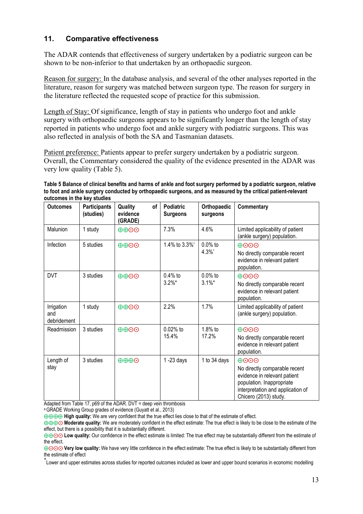## **11. Comparative effectiveness**

The ADAR contends that effectiveness of surgery undertaken by a podiatric surgeon can be shown to be non-inferior to that undertaken by an orthopaedic surgeon.

Reason for surgery: In the database analysis, and several of the other analyses reported in the literature, reason for surgery was matched between surgeon type. The reason for surgery in the literature reflected the requested scope of practice for this submission.

Length of Stay: Of significance, length of stay in patients who undergo foot and ankle surgery with orthopaedic surgeons appears to be significantly longer than the length of stay reported in patients who undergo foot and ankle surgery with podiatric surgeons. This was also reflected in analysis of both the SA and Tasmanian datasets.

Patient preference: Patients appear to prefer surgery undertaken by a podiatric surgeon. Overall, the Commentary considered the quality of the evidence presented in the ADAR was very low quality (Table 5).

**Table 5 Balance of clinical benefits and harms of ankle and foot surgery performed by a podiatric surgeon, relative to foot and ankle surgery conducted by orthopaedic surgeons, and as measured by the critical patient-relevant outcomes in the key studies**

| <b>Outcomes</b>                  | <b>Participants</b><br>(studies) | Quality<br>οf<br>evidence<br>(GRADE) | <b>Podiatric</b><br><b>Surgeons</b> | Orthopaedic<br>surgeons | Commentary                                                                                                                                                              |
|----------------------------------|----------------------------------|--------------------------------------|-------------------------------------|-------------------------|-------------------------------------------------------------------------------------------------------------------------------------------------------------------------|
| Malunion                         | 1 study                          | $\oplus$ $\oplus$                    | 7.3%                                | 4.6%                    | Limited applicability of patient<br>(ankle surgery) population.                                                                                                         |
| Infection                        | 5 studies                        | $\oplus$ $\oplus$ $\odot$            | 1.4% to 3.3%*                       | $0.0\%$ to<br>4.3%      | $\oplus$ OO<br>No directly comparable recent<br>evidence in relevant patient<br>population.                                                                             |
| <b>DVT</b>                       | 3 studies                        | $\oplus$ $\oplus$ $\odot$            | $0.4\%$ to<br>$3.2\%$ *             | $0.0\%$ to<br>$3.1\%$ * | $\oplus$ OO<br>No directly comparable recent<br>evidence in relevant patient<br>population.                                                                             |
| Irrigation<br>and<br>debridement | 1 study                          | $\oplus$ $\oplus$ $\odot$            | 2.2%                                | 1.7%                    | Limited applicability of patient<br>(ankle surgery) population.                                                                                                         |
| Readmission                      | 3 studies                        | $\oplus$ $\oplus$ $\odot$            | $0.02%$ to<br>15.4%                 | $1.8%$ to<br>17.2%      | $\oplus$ $\odot$ $\odot$<br>No directly comparable recent<br>evidence in relevant patient<br>population.                                                                |
| Length of<br>stay                | 3 studies                        | $\oplus \oplus \oplus \odot$         | $1 - 23$ days                       | 1 to 34 days            | $\oplus$ OO<br>No directly comparable recent<br>evidence in relevant patient<br>population. Inappropriate<br>interpretation and application of<br>Chicero (2013) study. |

Adapted from Table 17, p69 of the ADAR. DVT = deep vein thrombosis

a GRADE Working Group grades of evidence (Guyatt et al., 2013)

⨁⨁⨁⨁ **High quality:** We are very confident that the true effect lies close to that of the estimate of effect.

⊕⊕⊕⊙ Moderate quality: We are moderately confident in the effect estimate: The true effect is likely to be close to the estimate of the effect, but there is a possibility that it is substantially different.

⊕⊕⊙⊙ Low quality: Our confidence in the effect estimate is limited: The true effect may be substantially different from the estimate of the effect.

⊕⊙⊙⊙ Very low quality: We have very little confidence in the effect estimate: The true effect is likely to be substantially different from the estimate of effect

\* Lower and upper estimates across studies for reported outcomes included as lower and upper bound scenarios in economic modelling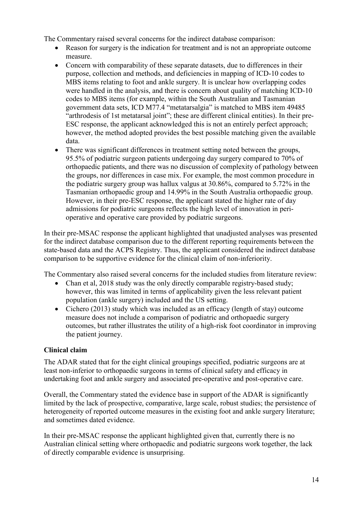The Commentary raised several concerns for the indirect database comparison:

- Reason for surgery is the indication for treatment and is not an appropriate outcome measure.
- Concern with comparability of these separate datasets, due to differences in their purpose, collection and methods, and deficiencies in mapping of ICD-10 codes to MBS items relating to foot and ankle surgery. It is unclear how overlapping codes were handled in the analysis, and there is concern about quality of matching ICD-10 codes to MBS items (for example, within the South Australian and Tasmanian government data sets, ICD M77.4 "metatarsalgia" is matched to MBS item 49485 "arthrodesis of 1st metatarsal joint"; these are different clinical entities). In their pre-ESC response, the applicant acknowledged this is not an entirely perfect approach; however, the method adopted provides the best possible matching given the available data.
- There was significant differences in treatment setting noted between the groups, 95.5% of podiatric surgeon patients undergoing day surgery compared to 70% of orthopaedic patients, and there was no discussion of complexity of pathology between the groups, nor differences in case mix. For example, the most common procedure in the podiatric surgery group was hallux valgus at 30.86%, compared to 5.72% in the Tasmanian orthopaedic group and 14.99% in the South Australia orthopaedic group. However, in their pre-ESC response, the applicant stated the higher rate of day admissions for podiatric surgeons reflects the high level of innovation in perioperative and operative care provided by podiatric surgeons.

In their pre-MSAC response the applicant highlighted that unadjusted analyses was presented for the indirect database comparison due to the different reporting requirements between the state-based data and the ACPS Registry. Thus, the applicant considered the indirect database comparison to be supportive evidence for the clinical claim of non-inferiority.

The Commentary also raised several concerns for the included studies from literature review:

- Chan et al, 2018 study was the only directly comparable registry-based study; however, this was limited in terms of applicability given the less relevant patient population (ankle surgery) included and the US setting.
- Cichero (2013) study which was included as an efficacy (length of stay) outcome measure does not include a comparison of podiatric and orthopaedic surgery outcomes, but rather illustrates the utility of a high-risk foot coordinator in improving the patient journey.

## **Clinical claim**

The ADAR stated that for the eight clinical groupings specified, podiatric surgeons are at least non-inferior to orthopaedic surgeons in terms of clinical safety and efficacy in undertaking foot and ankle surgery and associated pre-operative and post-operative care.

Overall, the Commentary stated the evidence base in support of the ADAR is significantly limited by the lack of prospective, comparative, large scale, robust studies; the persistence of heterogeneity of reported outcome measures in the existing foot and ankle surgery literature; and sometimes dated evidence.

In their pre-MSAC response the applicant highlighted given that, currently there is no Australian clinical setting where orthopaedic and podiatric surgeons work together, the lack of directly comparable evidence is unsurprising.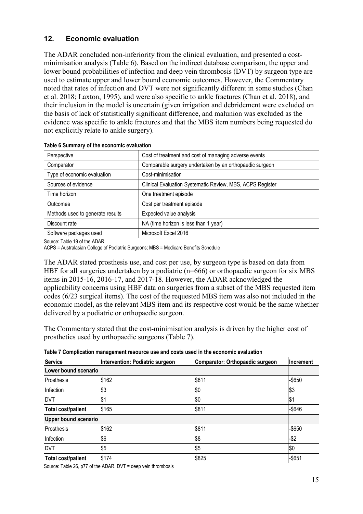## **12. Economic evaluation**

The ADAR concluded non-inferiority from the clinical evaluation, and presented a costminimisation analysis (Table 6). Based on the indirect database comparison, the upper and lower bound probabilities of infection and deep vein thrombosis (DVT) by surgeon type are used to estimate upper and lower bound economic outcomes. However, the Commentary noted that rates of infection and DVT were not significantly different in some studies (Chan et al. 2018; Laxton, 1995), and were also specific to ankle fractures (Chan et al. 2018), and their inclusion in the model is uncertain (given irrigation and debridement were excluded on the basis of lack of statistically significant difference, and malunion was excluded as the evidence was specific to ankle fractures and that the MBS item numbers being requested do not explicitly relate to ankle surgery).

| Cost of treatment and cost of managing adverse events     |
|-----------------------------------------------------------|
| Comparable surgery undertaken by an orthopaedic surgeon   |
| Cost-minimisation                                         |
| Clinical Evaluation Systematic Review, MBS, ACPS Register |
| One treatment episode                                     |
| Cost per treatment episode                                |
| Expected value analysis                                   |
| NA (time horizon is less than 1 year)                     |
| Microsoft Excel 2016                                      |
|                                                           |

**Table 6 Summary of the economic evaluation**

Source: Table 19 of the ADAR

ACPS = Australasian College of Podiatric Surgeons; MBS = Medicare Benefits Schedule

The ADAR stated prosthesis use, and cost per use, by surgeon type is based on data from HBF for all surgeries undertaken by a podiatric (n=666) or orthopaedic surgeon for six MBS items in 2015-16, 2016-17, and 2017-18. However, the ADAR acknowledged the applicability concerns using HBF data on surgeries from a subset of the MBS requested item codes (6/23 surgical items). The cost of the requested MBS item was also not included in the economic model, as the relevant MBS item and its respective cost would be the same whether delivered by a podiatric or orthopaedic surgeon.

The Commentary stated that the cost-minimisation analysis is driven by the higher cost of prosthetics used by orthopaedic surgeons (Table 7).

| <b>Service</b>              | Intervention: Podiatric surgeon | Comparator: Orthopaedic surgeon | <b>Increment</b> |
|-----------------------------|---------------------------------|---------------------------------|------------------|
| Lower bound scenario        |                                 |                                 |                  |
| Prosthesis                  | \$162                           | \$811                           | $-$ \$650        |
| Infection                   | \$3                             | \$0                             | \$3              |
| <b>DVT</b>                  | \$1                             | \$0                             | \$1              |
| <b>Total cost/patient</b>   | \$165                           | \$811                           | $-$ \$646        |
| <b>Upper bound scenario</b> |                                 |                                 |                  |
| Prosthesis                  | \$162                           | \$811                           | $-$ \$650        |
| Infection                   | \$6                             | \$8                             | $-$ \$2          |
| <b>DVT</b>                  | \$5                             | \$5                             | \$0              |
| Total cost/patient          | \$174                           | \$825                           | $-$ \$651        |

**Table 7 Complication management resource use and costs used in the economic evaluation**

Source: Table 26, p77 of the ADAR. DVT = deep vein thrombosis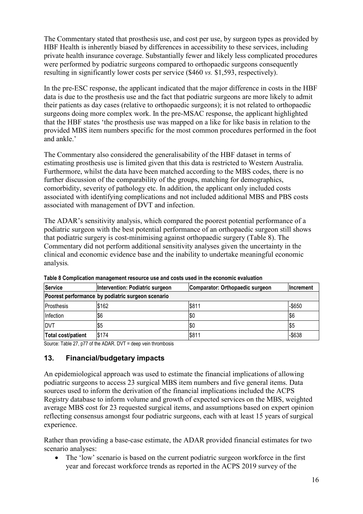The Commentary stated that prosthesis use, and cost per use, by surgeon types as provided by HBF Health is inherently biased by differences in accessibility to these services, including private health insurance coverage. Substantially fewer and likely less complicated procedures were performed by podiatric surgeons compared to orthopaedic surgeons consequently resulting in significantly lower costs per service (\$460 *vs.* \$1,593, respectively).

In the pre-ESC response, the applicant indicated that the major difference in costs in the HBF data is due to the prosthesis use and the fact that podiatric surgeons are more likely to admit their patients as day cases (relative to orthopaedic surgeons); it is not related to orthopaedic surgeons doing more complex work. In the pre-MSAC response, the applicant highlighted that the HBF states 'the prosthesis use was mapped on a like for like basis in relation to the provided MBS item numbers specific for the most common procedures performed in the foot and ankle.'

The Commentary also considered the generalisability of the HBF dataset in terms of estimating prosthesis use is limited given that this data is restricted to Western Australia. Furthermore, whilst the data have been matched according to the MBS codes, there is no further discussion of the comparability of the groups, matching for demographics, comorbidity, severity of pathology etc. In addition, the applicant only included costs associated with identifying complications and not included additional MBS and PBS costs associated with management of DVT and infection.

The ADAR's sensitivity analysis, which compared the poorest potential performance of a podiatric surgeon with the best potential performance of an orthopaedic surgeon still shows that podiatric surgery is cost-minimising against orthopaedic surgery (Table 8). The Commentary did not perform additional sensitivity analyses given the uncertainty in the clinical and economic evidence base and the inability to undertake meaningful economic analysis*.*

| Service                                           | Intervention: Podiatric surgeon<br>Comparator: Orthopaedic surgeon |       | <b>Increment</b> |  |
|---------------------------------------------------|--------------------------------------------------------------------|-------|------------------|--|
| Poorest performance by podiatric surgeon scenario |                                                                    |       |                  |  |
| <b>IProsthesis</b>                                | \$162                                                              | \$811 | $-$ \$650        |  |
| Infection                                         | <b>S6</b>                                                          | \$0   | \$6              |  |
| <b>DVT</b>                                        | $\sqrt{55}$                                                        | \$0   | IS5              |  |
| Total cost/patient                                | \$174                                                              | \$811 | $-$638$          |  |

**Table 8 Complication management resource use and costs used in the economic evaluation**

Source: Table 27, p77 of the ADAR. DVT = deep vein thrombosis

## **13. Financial/budgetary impacts**

An epidemiological approach was used to estimate the financial implications of allowing podiatric surgeons to access 23 surgical MBS item numbers and five general items. Data sources used to inform the derivation of the financial implications included the ACPS Registry database to inform volume and growth of expected services on the MBS, weighted average MBS cost for 23 requested surgical items, and assumptions based on expert opinion reflecting consensus amongst four podiatric surgeons, each with at least 15 years of surgical experience.

Rather than providing a base-case estimate, the ADAR provided financial estimates for two scenario analyses:

The 'low' scenario is based on the current podiatric surgeon workforce in the first year and forecast workforce trends as reported in the ACPS 2019 survey of the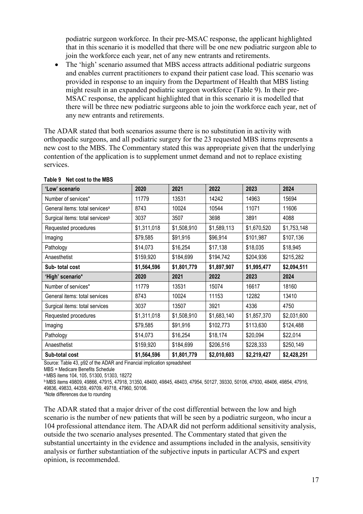podiatric surgeon workforce. In their pre-MSAC response, the applicant highlighted that in this scenario it is modelled that there will be one new podiatric surgeon able to join the workforce each year, net of any new entrants and retirements.

• The 'high' scenario assumed that MBS access attracts additional podiatric surgeons and enables current practitioners to expand their patient case load. This scenario was provided in response to an inquiry from the Department of Health that MBS listing might result in an expanded podiatric surgeon workforce (Table 9). In their pre-MSAC response, the applicant highlighted that in this scenario it is modelled that there will be three new podiatric surgeons able to join the workforce each year, net of any new entrants and retirements.

The ADAR stated that both scenarios assume there is no substitution in activity with orthopaedic surgeons, and all podiatric surgery for the 23 requested MBS items represents a new cost to the MBS. The Commentary stated this was appropriate given that the underlying contention of the application is to supplement unmet demand and not to replace existing services.

| 'Low' scenario                              | 2020        | 2021        | 2022        | 2023        | 2024        |
|---------------------------------------------|-------------|-------------|-------------|-------------|-------------|
| Number of services*                         | 11779       | 13531       | 14242       | 14963       | 15694       |
| General items: total services <sup>a</sup>  | 8743        | 10024       | 10544       | 11071       | 11606       |
| Surgical items: total services <sup>b</sup> | 3037        | 3507        | 3698        | 3891        | 4088        |
| Requested procedures                        | \$1,311,018 | \$1,508,910 | \$1,589,113 | \$1,670,520 | \$1,753,148 |
| Imaging                                     | \$79,585    | \$91,916    | \$96,914    | \$101,987   | \$107,136   |
| Pathology                                   | \$14,073    | \$16,254    | \$17,138    | \$18,035    | \$18,945    |
| Anaesthetist                                | \$159,920   | \$184,699   | \$194,742   | \$204,936   | \$215,282   |
| Sub-total cost                              | \$1,564,596 | \$1,801,779 | \$1,897,907 | \$1,995,477 | \$2,094,511 |
|                                             |             |             |             |             |             |
| 'High' scenario*                            | 2020        | 2021        | 2022        | 2023        | 2024        |
| Number of services*                         | 11779       | 13531       | 15074       | 16617       | 18160       |
| General items: total services               | 8743        | 10024       | 11153       | 12282       | 13410       |
| Surgical items: total services              | 3037        | 13507       | 3921        | 4336        | 4750        |
| Requested procedures                        | \$1,311,018 | \$1,508,910 | \$1,683,140 | \$1,857,370 | \$2,031,600 |
| Imaging                                     | \$79,585    | \$91,916    | \$102,773   | \$113,630   | \$124,488   |
| Pathology                                   | \$14,073    | \$16,254    | \$18,174    | \$20,094    | \$22,014    |
| Anaesthetist                                | \$159,920   | \$184,699   | \$206,516   | \$228,333   | \$250,149   |

#### **Table 9 Net cost to the MBS**

Source: Table 43, p92 of the ADAR and Financial implication spreadsheet

MBS = Medicare Benefits Schedule

a MBS items 104, 105, 51300, 51303, 18272

b MBS items 49809, 49866, 47915, 47918, 31350, 48400, 49845, 48403, 47954, 50127, 39330, 50106, 47930, 48406, 49854, 47916, 49836, 49833, 44359, 49709, 49718, 47960, 50106.

\*Note differences due to rounding

The ADAR stated that a major driver of the cost differential between the low and high scenario is the number of new patients that will be seen by a podiatric surgeon, who incur a 104 professional attendance item. The ADAR did not perform additional sensitivity analysis, outside the two scenario analyses presented. The Commentary stated that given the substantial uncertainty in the evidence and assumptions included in the analysis, sensitivity analysis or further substantiation of the subjective inputs in particular ACPS and expert opinion, is recommended.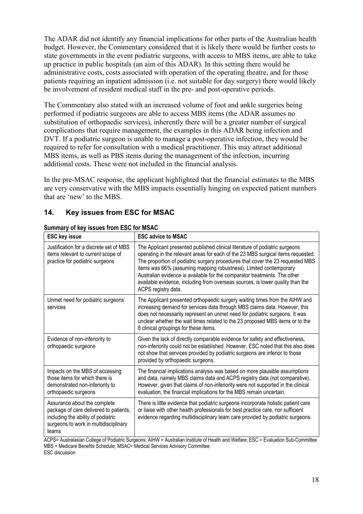The ADAR did not identify any financial implications for other parts of the Australian health budget. However, the Commentary considered that it is likely there would be further costs to state governments in the event podiatric surgeons, with access to MBS items, are able to take up practice in public hospitals (an aim of this ADAR). In this setting there would be administrative costs, costs associated with operation of the operating theatre, and for those patients requiring an inpatient admission (i.e. not suitable for day surgery) there would likely be involvement of resident medical staff in the pre- and post-operative periods.

The Commentary also stated with an increased volume of foot and ankle surgeries being performed if podiatric surgeons are able to access MBS items (the ADAR assumes no substitution of orthopaedic services), inherently there will be a greater number of surgical complications that require management, the examples in this ADAR being infection and DVT. If a podiatric surgeon is unable to manage a post-operative infection, they would be required to refer for consultation with a medical practitioner. This may attract additional MBS items, as well as PBS items during the management of the infection, incurring additional costs. These were not included in the financial analysis.

In the pre-MSAC response, the applicant highlighted that the financial estimates to the MBS are very conservative with the MBS impacts essentially hinging on expected patient numbers that are 'new' to the MBS.

## **14. Key issues from ESC for MSAC**

| <b>ESC key issue</b>                                                                                                                                           | <b>ESC advice to MSAC</b>                                                                                                                                                                                                                                                                                                                                                                                                                                                                                    |
|----------------------------------------------------------------------------------------------------------------------------------------------------------------|--------------------------------------------------------------------------------------------------------------------------------------------------------------------------------------------------------------------------------------------------------------------------------------------------------------------------------------------------------------------------------------------------------------------------------------------------------------------------------------------------------------|
| Justification for a discrete set of MBS<br>items relevant to current scope of<br>practice for podiatric surgeons                                               | The Applicant presented published clinical literature of podiatric surgeons<br>operating in the relevant areas for each of the 23 MBS surgical items requested.<br>The proportion of podiatric surgery procedures that cover the 23 requested MBS<br>items was 66% (assuming mapping robustness). Limited contemporary<br>Australian evidence is available for the comparator treatments. The other<br>available evidence, including from overseas sources, is lower quality than the<br>ACPS registry data. |
| Unmet need for podiatric surgeons'<br>services                                                                                                                 | The Applicant presented orthopaedic surgery waiting times from the AIHW and<br>increasing demand for services data through MBS claims data. However, this<br>does not necessarily represent an unmet need for podiatric surgeons. It was<br>unclear whether the wait times related to the 23 proposed MBS items or to the<br>8 clinical groupings for these items.                                                                                                                                           |
| Evidence of non-inferiority to<br>orthopaedic surgeons                                                                                                         | Given the lack of directly comparable evidence for safety and effectiveness,<br>non-inferiority could not be established. However, ESC noted that this also does<br>not show that services provided by podiatric surgeons are inferior to those<br>provided by orthopaedic surgeons.                                                                                                                                                                                                                         |
| Impacts on the MBS of accessing<br>those items for which there is<br>demonstrated non-inferiority to<br>orthopaedic surgeons                                   | The financial implications analysis was based on more plausible assumptions<br>and data, namely MBS claims data and ACPS registry data (not comparative).<br>However, given that claims of non-inferiority were not supported in the clinical<br>evaluation, the financial implications for the MBS remain uncertain.                                                                                                                                                                                        |
| Assurance about the complete<br>package of care delivered to patients,<br>including the ability of podiatric<br>surgeons to work in multidisciplinary<br>teams | There is little evidence that podiatric surgeons incorporate holistic patient care<br>or liaise with other health professionals for best practice care, nor sufficient<br>evidence regarding multidisciplinary team care provided by podiatric surgeons.                                                                                                                                                                                                                                                     |

#### **Summary of key issues from ESC for MSAC**

ACPS= Australasian College of Podiatric Surgeons; AIHW = Australian Institute of Health and Welfare; ESC = Evaluation Sub-Committee MBS = Medicare Benefits Schedule; MSAC= Medical Services Advisory Committee ESC discussion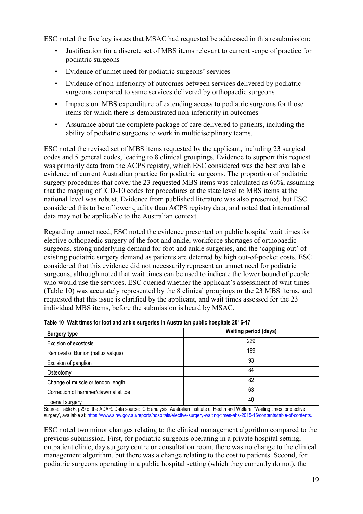ESC noted the five key issues that MSAC had requested be addressed in this resubmission:

- Justification for a discrete set of MBS items relevant to current scope of practice for podiatric surgeons
- Evidence of unmet need for podiatric surgeons' services
- Evidence of non-inferiority of outcomes between services delivered by podiatric surgeons compared to same services delivered by orthopaedic surgeons
- Impacts on MBS expenditure of extending access to podiatric surgeons for those items for which there is demonstrated non-inferiority in outcomes
- Assurance about the complete package of care delivered to patients, including the ability of podiatric surgeons to work in multidisciplinary teams.

ESC noted the revised set of MBS items requested by the applicant, including 23 surgical codes and 5 general codes, leading to 8 clinical groupings. Evidence to support this request was primarily data from the ACPS registry, which ESC considered was the best available evidence of current Australian practice for podiatric surgeons. The proportion of podiatric surgery procedures that cover the 23 requested MBS items was calculated as 66%, assuming that the mapping of ICD-10 codes for procedures at the state level to MBS items at the national level was robust. Evidence from published literature was also presented, but ESC considered this to be of lower quality than ACPS registry data, and noted that international data may not be applicable to the Australian context.

Regarding unmet need, ESC noted the evidence presented on public hospital wait times for elective orthopaedic surgery of the foot and ankle, workforce shortages of orthopaedic surgeons, strong underlying demand for foot and ankle surgeries, and the 'capping out' of existing podiatric surgery demand as patients are deterred by high out-of-pocket costs. ESC considered that this evidence did not necessarily represent an unmet need for podiatric surgeons, although noted that wait times can be used to indicate the lower bound of people who would use the services. ESC queried whether the applicant's assessment of wait times (Table 10) was accurately represented by the 8 clinical groupings or the 23 MBS items, and requested that this issue is clarified by the applicant, and wait times assessed for the 23 individual MBS items, before the submission is heard by MSAC.

| <b>Surgery type</b>                  | <b>Waiting period (days)</b> |  |  |  |  |
|--------------------------------------|------------------------------|--|--|--|--|
| Excision of exostosis                | 229                          |  |  |  |  |
| Removal of Bunion (hallux valgus)    | 169                          |  |  |  |  |
| Excision of ganglion                 | 93                           |  |  |  |  |
| Osteotomy                            | 84                           |  |  |  |  |
| Change of muscle or tendon length    | 82                           |  |  |  |  |
| Correction of hammer/claw/mallet toe | 63                           |  |  |  |  |
| Toenail surgery                      | 40                           |  |  |  |  |

|  |  |  | Table 10 Wait times for foot and ankle surgeries in Australian public hospitals 2016-17 |  |  |  |
|--|--|--|-----------------------------------------------------------------------------------------|--|--|--|
|--|--|--|-----------------------------------------------------------------------------------------|--|--|--|

Source: Table 6, p29 of the ADAR. Data source: CIE analysis; Australian Institute of Health and Welfare, 'Waiting times for elective surgery', available at: [https://www.aihw.gov.au/reports/hospitals/elective-surgery-waiting-times-ahs-2015-16/contents/table-of-contents.](https://www.aihw.gov.au/reports/hospitals/elective-surgery-waiting-times-ahs-2015-16/contents/table-of-contents)

ESC noted two minor changes relating to the clinical management algorithm compared to the previous submission. First, for podiatric surgeons operating in a private hospital setting, outpatient clinic, day surgery centre or consultation room, there was no change to the clinical management algorithm, but there was a change relating to the cost to patients. Second, for podiatric surgeons operating in a public hospital setting (which they currently do not), the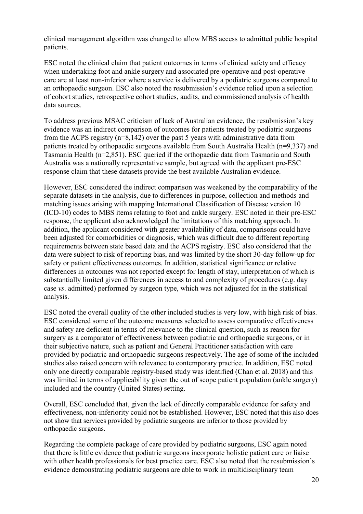clinical management algorithm was changed to allow MBS access to admitted public hospital patients.

ESC noted the clinical claim that patient outcomes in terms of clinical safety and efficacy when undertaking foot and ankle surgery and associated pre-operative and post-operative care are at least non-inferior where a service is delivered by a podiatric surgeons compared to an orthopaedic surgeon. ESC also noted the resubmission's evidence relied upon a selection of cohort studies, retrospective cohort studies, audits, and commissioned analysis of health data sources.

To address previous MSAC criticism of lack of Australian evidence, the resubmission's key evidence was an indirect comparison of outcomes for patients treated by podiatric surgeons from the ACPS registry (n=8,142) over the past 5 years with administrative data from patients treated by orthopaedic surgeons available from South Australia Health (n=9,337) and Tasmania Health (n=2,851). ESC queried if the orthopaedic data from Tasmania and South Australia was a nationally representative sample, but agreed with the applicant pre-ESC response claim that these datasets provide the best available Australian evidence.

However, ESC considered the indirect comparison was weakened by the comparability of the separate datasets in the analysis, due to differences in purpose, collection and methods and matching issues arising with mapping International Classification of Disease version 10 (ICD-10) codes to MBS items relating to foot and ankle surgery. ESC noted in their pre-ESC response, the applicant also acknowledged the limitations of this matching approach. In addition, the applicant considered with greater availability of data, comparisons could have been adjusted for comorbidities or diagnosis, which was difficult due to different reporting requirements between state based data and the ACPS registry. ESC also considered that the data were subject to risk of reporting bias, and was limited by the short 30-day follow-up for safety or patient effectiveness outcomes. In addition, statistical significance or relative differences in outcomes was not reported except for length of stay, interpretation of which is substantially limited given differences in access to and complexity of procedures (e.g. day case *vs*. admitted) performed by surgeon type, which was not adjusted for in the statistical analysis.

ESC noted the overall quality of the other included studies is very low, with high risk of bias. ESC considered some of the outcome measures selected to assess comparative effectiveness and safety are deficient in terms of relevance to the clinical question, such as reason for surgery as a comparator of effectiveness between podiatric and orthopaedic surgeons, or in their subjective nature, such as patient and General Practitioner satisfaction with care provided by podiatric and orthopaedic surgeons respectively. The age of some of the included studies also raised concern with relevance to contemporary practice. In addition, ESC noted only one directly comparable registry-based study was identified (Chan et al. 2018) and this was limited in terms of applicability given the out of scope patient population (ankle surgery) included and the country (United States) setting.

Overall, ESC concluded that, given the lack of directly comparable evidence for safety and effectiveness, non-inferiority could not be established. However, ESC noted that this also does not show that services provided by podiatric surgeons are inferior to those provided by orthopaedic surgeons.

Regarding the complete package of care provided by podiatric surgeons, ESC again noted that there is little evidence that podiatric surgeons incorporate holistic patient care or liaise with other health professionals for best practice care. ESC also noted that the resubmission's evidence demonstrating podiatric surgeons are able to work in multidisciplinary team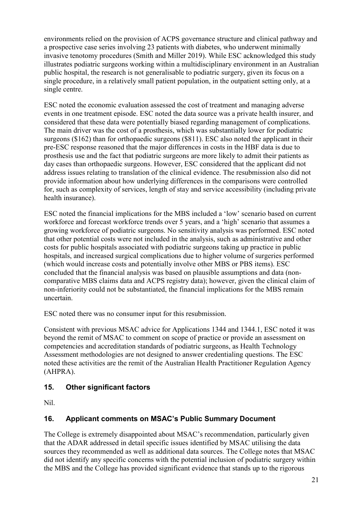environments relied on the provision of ACPS governance structure and clinical pathway and a prospective case series involving 23 patients with diabetes, who underwent minimally invasive tenotomy procedures (Smith and Miller 2019). While ESC acknowledged this study illustrates podiatric surgeons working within a multidisciplinary environment in an Australian public hospital, the research is not generalisable to podiatric surgery, given its focus on a single procedure, in a relatively small patient population, in the outpatient setting only, at a single centre.

ESC noted the economic evaluation assessed the cost of treatment and managing adverse events in one treatment episode. ESC noted the data source was a private health insurer, and considered that these data were potentially biased regarding management of complications. The main driver was the cost of a prosthesis, which was substantially lower for podiatric surgeons (\$162) than for orthopaedic surgeons (\$811). ESC also noted the applicant in their pre-ESC response reasoned that the major differences in costs in the HBF data is due to prosthesis use and the fact that podiatric surgeons are more likely to admit their patients as day cases than orthopaedic surgeons. However, ESC considered that the applicant did not address issues relating to translation of the clinical evidence. The resubmission also did not provide information about how underlying differences in the comparisons were controlled for, such as complexity of services, length of stay and service accessibility (including private health insurance).

ESC noted the financial implications for the MBS included a 'low' scenario based on current workforce and forecast workforce trends over 5 years, and a 'high' scenario that assumes a growing workforce of podiatric surgeons. No sensitivity analysis was performed. ESC noted that other potential costs were not included in the analysis, such as administrative and other costs for public hospitals associated with podiatric surgeons taking up practice in public hospitals, and increased surgical complications due to higher volume of surgeries performed (which would increase costs and potentially involve other MBS or PBS items). ESC concluded that the financial analysis was based on plausible assumptions and data (noncomparative MBS claims data and ACPS registry data); however, given the clinical claim of non-inferiority could not be substantiated, the financial implications for the MBS remain uncertain.

ESC noted there was no consumer input for this resubmission.

Consistent with previous MSAC advice for Applications 1344 and 1344.1, ESC noted it was beyond the remit of MSAC to comment on scope of practice or provide an assessment on competencies and accreditation standards of podiatric surgeons, as Health Technology Assessment methodologies are not designed to answer credentialing questions. The ESC noted these activities are the remit of the Australian Health Practitioner Regulation Agency (AHPRA).

## **15. Other significant factors**

Nil.

## **16. Applicant comments on MSAC's Public Summary Document**

The College is extremely disappointed about MSAC's recommendation, particularly given that the ADAR addressed in detail specific issues identified by MSAC utilising the data sources they recommended as well as additional data sources. The College notes that MSAC did not identify any specific concerns with the potential inclusion of podiatric surgery within the MBS and the College has provided significant evidence that stands up to the rigorous